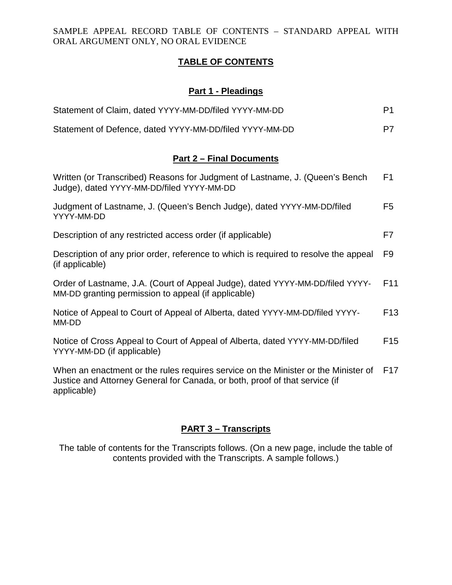SAMPLE APPEAL RECORD TABLE OF CONTENTS – STANDARD APPEAL WITH ORAL ARGUMENT ONLY, NO ORAL EVIDENCE

### **TABLE OF CONTENTS**

# **Part 1 - Pleadings**

| Statement of Claim, dated YYYY-MM-DD/filed YYYY-MM-DD   | P <sub>1</sub> |
|---------------------------------------------------------|----------------|
| Statement of Defence, dated YYYY-MM-DD/filed YYYY-MM-DD | P7             |

#### **Part 2 – Final Documents**

| Written (or Transcribed) Reasons for Judgment of Lastname, J. (Queen's Bench<br>Judge), dated YYYY-MM-DD/filed YYYY-MM-DD            | F <sub>1</sub>  |
|--------------------------------------------------------------------------------------------------------------------------------------|-----------------|
| Judgment of Lastname, J. (Queen's Bench Judge), dated YYYY-MM-DD/filed<br>YYYY-MM-DD                                                 | F5              |
| Description of any restricted access order (if applicable)                                                                           | F7              |
| Description of any prior order, reference to which is required to resolve the appeal<br>(if applicable)                              | F9              |
| Order of Lastname, J.A. (Court of Appeal Judge), dated YYYY-MM-DD/filed YYYY-<br>MM-DD granting permission to appeal (if applicable) | F <sub>11</sub> |
| Notice of Appeal to Court of Appeal of Alberta, dated YYYY-MM-DD/filed YYYY-<br>MM-DD                                                | F <sub>13</sub> |
| Notice of Cross Appeal to Court of Appeal of Alberta, dated YYYY-MM-DD/filed<br>YYYY-MM-DD (if applicable)                           | F <sub>15</sub> |
| When an enactment or the rules requires service on the Minister or the Minister of                                                   | F <sub>17</sub> |

Justice and Attorney General for Canada, or both, proof of that service (if applicable)

# **PART 3 – Transcripts**

The table of contents for the Transcripts follows. (On a new page, include the table of contents provided with the Transcripts. A sample follows.)